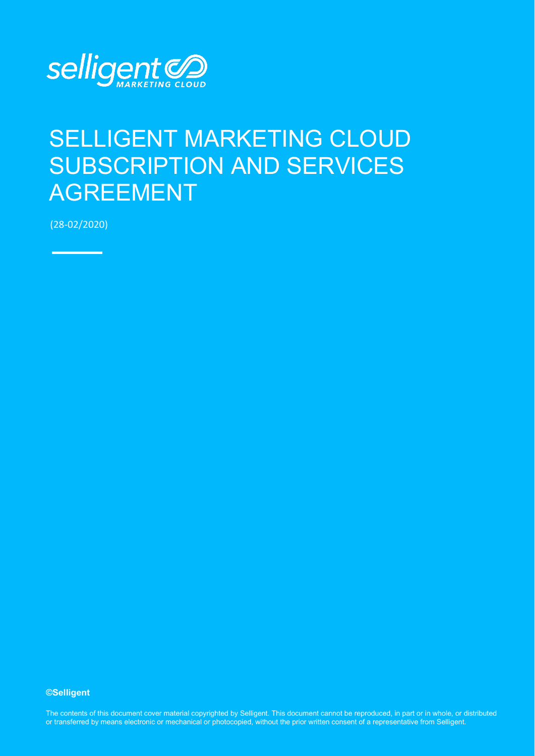

# SELLIGENT MARKETING CLOUD SUBSCRIPTION AND SERVICES AGREEMENT

(28-02/2020)

**©Selligent** 

The contents of this document cover material copyrighted by Selligent. This document cannot be reproduced, in part or in whole, or distributed or transferred by means electronic or mechanical or photocopied, without the prior written consent of a representative from Selligent.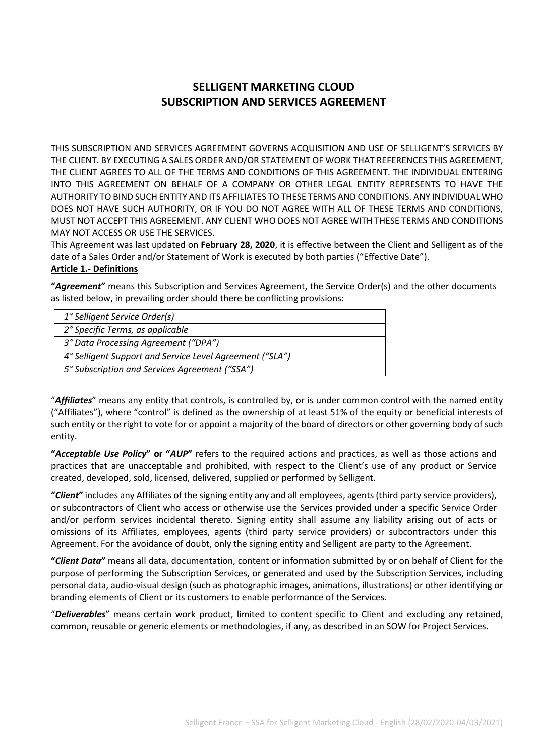# **SELLIGENT MARKETING CLOUD SUBSCRIPTION AND SERVICES AGREEMENT**

THIS SUBSCRIPTION AND SERVICES AGREEMENT GOVERNS ACQUISITION AND USE OF SELLIGENT'S SERVICES BY THE CLIENT. BY EXECUTING A SALES ORDER AND/OR STATEMENT OF WORK THAT REFERENCES THIS AGREEMENT, THE CLIENT AGREES TO ALL OF THE TERMS AND CONDITIONS OF THIS AGREEMENT. THE INDIVIDUAL ENTERING INTO THIS AGREEMENT ON BEHALF OF A COMPANY OR OTHER LEGAL ENTITY REPRESENTS TO HAVE THE AUTHORITY TO BIND SUCH ENTITY AND ITS AFFILIATES TO THESE TERMS AND CONDITIONS. ANY INDIVIDUAL WHO DOES NOT HAVE SUCH AUTHORITY, OR IF YOU DO NOT AGREE WITH ALL OF THESE TERMS AND CONDITIONS, MUST NOT ACCEPT THIS AGREEMENT. ANY CLIENT WHO DOES NOT AGREE WITH THESE TERMS AND CONDITIONS MAY NOT ACCESS OR USE THE SERVICES.

This Agreement was last updated on **February 28, 2020**, it is effective between the Client and Selligent as of the date of a Sales Order and/or Statement of Work is executed by both parties ("Effective Date"). **Article 1.- Definitions**

**"***Agreement***"** means this Subscription and Services Agreement, the Service Order(s) and the other documents as listed below, in prevailing order should there be conflicting provisions:

| 1° Selligent Service Order(s)                            |
|----------------------------------------------------------|
| 2° Specific Terms, as applicable                         |
| 3° Data Processing Agreement ("DPA")                     |
| 4° Selligent Support and Service Level Agreement ("SLA") |
| 5° Subscription and Services Agreement ("SSA")           |
|                                                          |

"*Affiliates*" means any entity that controls, is controlled by, or is under common control with the named entity ("Affiliates"), where "control" is defined as the ownership of at least 51% of the equity or beneficial interests of such entity or the right to vote for or appoint a majority of the board of directors or other governing body of such entity.

**"***Acceptable Use Policy***" or "***AUP***"** refers to the required actions and practices, as well as those actions and practices that are unacceptable and prohibited, with respect to the Client's use of any product or Service created, developed, sold, licensed, delivered, supplied or performed by Selligent.

**"***Client***"** includes any Affiliates of the signing entity any and all employees, agents (third party service providers), or subcontractors of Client who access or otherwise use the Services provided under a specific Service Order and/or perform services incidental thereto. Signing entity shall assume any liability arising out of acts or omissions of its Affiliates, employees, agents (third party service providers) or subcontractors under this Agreement. For the avoidance of doubt, only the signing entity and Selligent are party to the Agreement.

**"***Client Data***"** means all data, documentation, content or information submitted by or on behalf of Client for the purpose of performing the Subscription Services, or generated and used by the Subscription Services, including personal data, audio-visual design (such as photographic images, animations, illustrations) or other identifying or branding elements of Client or its customers to enable performance of the Services.

"*Deliverables*" means certain work product, limited to content specific to Client and excluding any retained, common, reusable or generic elements or methodologies, if any, as described in an SOW for Project Services.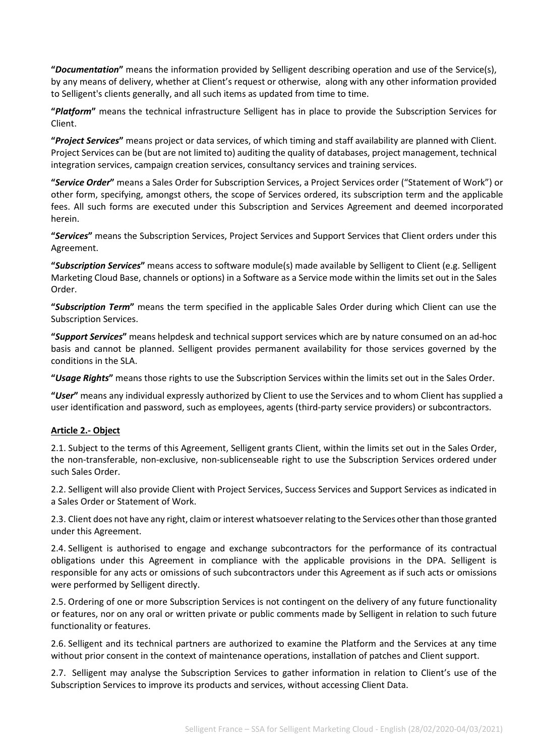**"***Documentation***"** means the information provided by Selligent describing operation and use of the Service(s), by any means of delivery, whether at Client's request or otherwise, along with any other information provided to Selligent's clients generally, and all such items as updated from time to time.

**"***Platform***"** means the technical infrastructure Selligent has in place to provide the Subscription Services for Client.

**"***Project Services***"** means project or data services, of which timing and staff availability are planned with Client. Project Services can be (but are not limited to) auditing the quality of databases, project management, technical integration services, campaign creation services, consultancy services and training services.

**"***Service Order***"** means a Sales Order for Subscription Services, a Project Services order ("Statement of Work") or other form, specifying, amongst others, the scope of Services ordered, its subscription term and the applicable fees. All such forms are executed under this Subscription and Services Agreement and deemed incorporated herein.

**"***Services***"** means the Subscription Services, Project Services and Support Services that Client orders under this Agreement.

**"***Subscription Services***"** means access to software module(s) made available by Selligent to Client (e.g. Selligent Marketing Cloud Base, channels or options) in a Software as a Service mode within the limits set out in the Sales Order.

**"***Subscription Term***"** means the term specified in the applicable Sales Order during which Client can use the Subscription Services.

**"***Support Services***"** means helpdesk and technical support services which are by nature consumed on an ad-hoc basis and cannot be planned. Selligent provides permanent availability for those services governed by the conditions in the SLA.

**"***Usage Rights***"** means those rights to use the Subscription Services within the limits set out in the Sales Order.

**"***User***"** means any individual expressly authorized by Client to use the Services and to whom Client has supplied a user identification and password, such as employees, agents (third-party service providers) or subcontractors.

# **Article 2.- Object**

2.1. Subject to the terms of this Agreement, Selligent grants Client, within the limits set out in the Sales Order, the non-transferable, non-exclusive, non-sublicenseable right to use the Subscription Services ordered under such Sales Order.

2.2. Selligent will also provide Client with Project Services, Success Services and Support Services as indicated in a Sales Order or Statement of Work.

2.3. Client does not have any right, claim or interest whatsoever relating to the Services other than those granted under this Agreement.

2.4. Selligent is authorised to engage and exchange subcontractors for the performance of its contractual obligations under this Agreement in compliance with the applicable provisions in the DPA. Selligent is responsible for any acts or omissions of such subcontractors under this Agreement as if such acts or omissions were performed by Selligent directly.

2.5. Ordering of one or more Subscription Services is not contingent on the delivery of any future functionality or features, nor on any oral or written private or public comments made by Selligent in relation to such future functionality or features.

2.6. Selligent and its technical partners are authorized to examine the Platform and the Services at any time without prior consent in the context of maintenance operations, installation of patches and Client support.

2.7. Selligent may analyse the Subscription Services to gather information in relation to Client's use of the Subscription Services to improve its products and services, without accessing Client Data.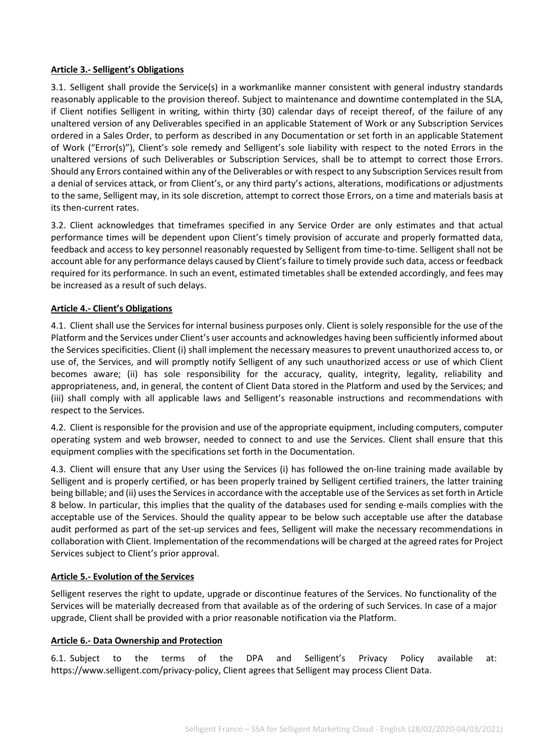#### **Article 3.- Selligent's Obligations**

3.1. Selligent shall provide the Service(s) in a workmanlike manner consistent with general industry standards reasonably applicable to the provision thereof. Subject to maintenance and downtime contemplated in the SLA, if Client notifies Selligent in writing, within thirty (30) calendar days of receipt thereof, of the failure of any unaltered version of any Deliverables specified in an applicable Statement of Work or any Subscription Services ordered in a Sales Order, to perform as described in any Documentation or set forth in an applicable Statement of Work ("Error(s)"), Client's sole remedy and Selligent's sole liability with respect to the noted Errors in the unaltered versions of such Deliverables or Subscription Services, shall be to attempt to correct those Errors. Should any Errors contained within any of the Deliverables or with respect to any Subscription Services result from a denial of services attack, or from Client's, or any third party's actions, alterations, modifications or adjustments to the same, Selligent may, in its sole discretion, attempt to correct those Errors, on a time and materials basis at its then-current rates.

3.2. Client acknowledges that timeframes specified in any Service Order are only estimates and that actual performance times will be dependent upon Client's timely provision of accurate and properly formatted data, feedback and access to key personnel reasonably requested by Selligent from time-to-time. Selligent shall not be account able for any performance delays caused by Client's failure to timely provide such data, access or feedback required for its performance. In such an event, estimated timetables shall be extended accordingly, and fees may be increased as a result of such delays.

#### **Article 4.- Client's Obligations**

4.1. Client shall use the Services for internal business purposes only. Client is solely responsible for the use of the Platform and the Services under Client's user accounts and acknowledges having been sufficiently informed about the Services specificities. Client (i) shall implement the necessary measures to prevent unauthorized access to, or use of, the Services, and will promptly notify Selligent of any such unauthorized access or use of which Client becomes aware; (ii) has sole responsibility for the accuracy, quality, integrity, legality, reliability and appropriateness, and, in general, the content of Client Data stored in the Platform and used by the Services; and (iii) shall comply with all applicable laws and Selligent's reasonable instructions and recommendations with respect to the Services.

4.2. Client is responsible for the provision and use of the appropriate equipment, including computers, computer operating system and web browser, needed to connect to and use the Services. Client shall ensure that this equipment complies with the specifications set forth in the Documentation.

4.3. Client will ensure that any User using the Services (i) has followed the on-line training made available by Selligent and is properly certified, or has been properly trained by Selligent certified trainers, the latter training being billable; and (ii) uses the Services in accordance with the acceptable use of the Services as set forth in Article 8 below. In particular, this implies that the quality of the databases used for sending e-mails complies with the acceptable use of the Services. Should the quality appear to be below such acceptable use after the database audit performed as part of the set-up services and fees, Selligent will make the necessary recommendations in collaboration with Client. Implementation of the recommendations will be charged at the agreed rates for Project Services subject to Client's prior approval.

#### **Article 5.- Evolution of the Services**

Selligent reserves the right to update, upgrade or discontinue features of the Services. No functionality of the Services will be materially decreased from that available as of the ordering of such Services. In case of a major upgrade, Client shall be provided with a prior reasonable notification via the Platform.

#### **Article 6.- Data Ownership and Protection**

6.1. Subject to the terms of the DPA and Selligent's Privacy Policy available at: [https://www.selligent.com/privacy-policy,](https://www.selligent.com/privacy-policy) Client agrees that Selligent may process Client Data.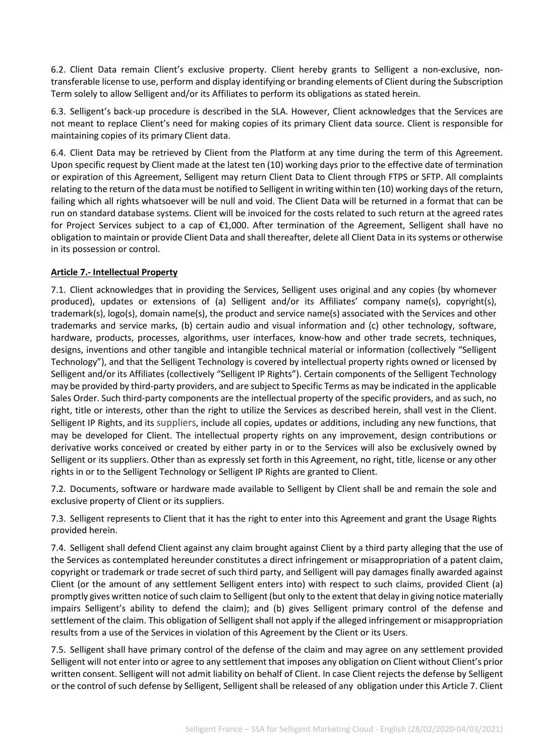6.2. Client Data remain Client's exclusive property. Client hereby grants to Selligent a non-exclusive, nontransferable license to use, perform and display identifying or branding elements of Client during the Subscription Term solely to allow Selligent and/or its Affiliates to perform its obligations as stated herein.

6.3. Selligent's back-up procedure is described in the SLA. However, Client acknowledges that the Services are not meant to replace Client's need for making copies of its primary Client data source. Client is responsible for maintaining copies of its primary Client data.

6.4. Client Data may be retrieved by Client from the Platform at any time during the term of this Agreement. Upon specific request by Client made at the latest ten (10) working days prior to the effective date of termination or expiration of this Agreement, Selligent may return Client Data to Client through FTPS or SFTP. All complaints relating to the return of the data must be notified to Selligent in writing within ten (10) working days of the return, failing which all rights whatsoever will be null and void. The Client Data will be returned in a format that can be run on standard database systems. Client will be invoiced for the costs related to such return at the agreed rates for Project Services subject to a cap of €1,000. After termination of the Agreement, Selligent shall have no obligation to maintain or provide Client Data and shall thereafter, delete all Client Data in its systems or otherwise in its possession or control.

# **Article 7.- Intellectual Property**

7.1. Client acknowledges that in providing the Services, Selligent uses original and any copies (by whomever produced), updates or extensions of (a) Selligent and/or its Affiliates' company name(s), copyright(s), trademark(s), logo(s), domain name(s), the product and service name(s) associated with the Services and other trademarks and service marks, (b) certain audio and visual information and (c) other technology, software, hardware, products, processes, algorithms, user interfaces, know-how and other trade secrets, techniques, designs, inventions and other tangible and intangible technical material or information (collectively "Selligent Technology"), and that the Selligent Technology is covered by intellectual property rights owned or licensed by Selligent and/or its Affiliates (collectively "Selligent IP Rights"). Certain components of the Selligent Technology may be provided by third-party providers, and are subject to Specific Terms as may be indicated in the applicable Sales Order. Such third-party components are the intellectual property of the specific providers, and as such, no right, title or interests, other than the right to utilize the Services as described herein, shall vest in the Client. Selligent IP Rights, and its suppliers, include all copies, updates or additions, including any new functions, that may be developed for Client. The intellectual property rights on any improvement, design contributions or derivative works conceived or created by either party in or to the Services will also be exclusively owned by Selligent or its suppliers. Other than as expressly set forth in this Agreement, no right, title, license or any other rights in or to the Selligent Technology or Selligent IP Rights are granted to Client.

7.2. Documents, software or hardware made available to Selligent by Client shall be and remain the sole and exclusive property of Client or its suppliers.

7.3. Selligent represents to Client that it has the right to enter into this Agreement and grant the Usage Rights provided herein.

7.4. Selligent shall defend Client against any claim brought against Client by a third party alleging that the use of the Services as contemplated hereunder constitutes a direct infringement or misappropriation of a patent claim, copyright or trademark or trade secret of such third party, and Selligent will pay damages finally awarded against Client (or the amount of any settlement Selligent enters into) with respect to such claims, provided Client (a) promptly gives written notice of such claim to Selligent (but only to the extent that delay in giving notice materially impairs Selligent's ability to defend the claim); and (b) gives Selligent primary control of the defense and settlement of the claim. This obligation of Selligent shall not apply if the alleged infringement or misappropriation results from a use of the Services in violation of this Agreement by the Client or its Users.

7.5. Selligent shall have primary control of the defense of the claim and may agree on any settlement provided Selligent will not enter into or agree to any settlement that imposes any obligation on Client without Client's prior written consent. Selligent will not admit liability on behalf of Client. In case Client rejects the defense by Selligent or the control of such defense by Selligent, Selligent shall be released of any obligation under this Article 7. Client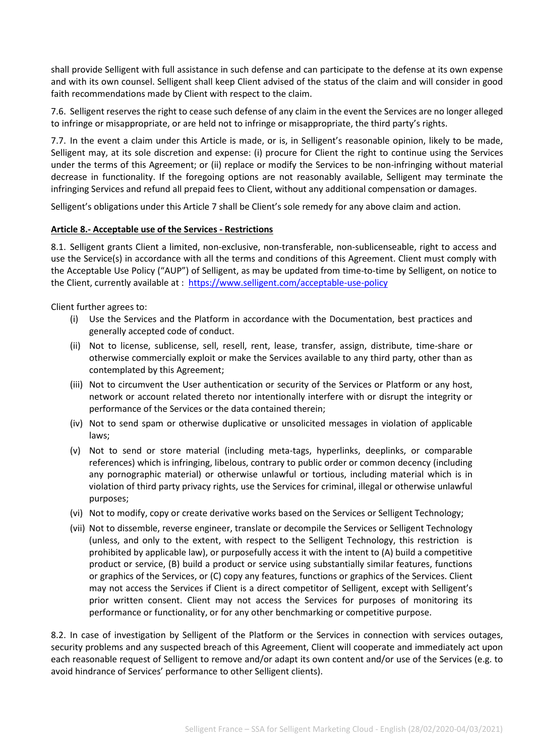shall provide Selligent with full assistance in such defense and can participate to the defense at its own expense and with its own counsel. Selligent shall keep Client advised of the status of the claim and will consider in good faith recommendations made by Client with respect to the claim.

7.6. Selligent reserves the right to cease such defense of any claim in the event the Services are no longer alleged to infringe or misappropriate, or are held not to infringe or misappropriate, the third party's rights.

7.7. In the event a claim under this Article is made, or is, in Selligent's reasonable opinion, likely to be made, Selligent may, at its sole discretion and expense: (i) procure for Client the right to continue using the Services under the terms of this Agreement; or (ii) replace or modify the Services to be non-infringing without material decrease in functionality. If the foregoing options are not reasonably available, Selligent may terminate the infringing Services and refund all prepaid fees to Client, without any additional compensation or damages.

Selligent's obligations under this Article 7 shall be Client's sole remedy for any above claim and action.

#### **Article 8.- Acceptable use of the Services - Restrictions**

8.1. Selligent grants Client a limited, non-exclusive, non-transferable, non-sublicenseable, right to access and use the Service(s) in accordance with all the terms and conditions of this Agreement. Client must comply with the Acceptable Use Policy ("AUP") of Selligent, as may be updated from time-to-time by Selligent, on notice to the Client, currently available at:<https://www.selligent.com/acceptable-use-policy>

Client further agrees to:

- (i) Use the Services and the Platform in accordance with the Documentation, best practices and generally accepted code of conduct.
- (ii) Not to license, sublicense, sell, resell, rent, lease, transfer, assign, distribute, time-share or otherwise commercially exploit or make the Services available to any third party, other than as contemplated by this Agreement;
- (iii) Not to circumvent the User authentication or security of the Services or Platform or any host, network or account related thereto nor intentionally interfere with or disrupt the integrity or performance of the Services or the data contained therein;
- (iv) Not to send spam or otherwise duplicative or unsolicited messages in violation of applicable laws;
- (v) Not to send or store material (including meta-tags, hyperlinks, deeplinks, or comparable references) which is infringing, libelous, contrary to public order or common decency (including any pornographic material) or otherwise unlawful or tortious, including material which is in violation of third party privacy rights, use the Services for criminal, illegal or otherwise unlawful purposes;
- (vi) Not to modify, copy or create derivative works based on the Services or Selligent Technology;
- (vii) Not to dissemble, reverse engineer, translate or decompile the Services or Selligent Technology (unless, and only to the extent, with respect to the Selligent Technology, this restriction is prohibited by applicable law), or purposefully access it with the intent to (A) build a competitive product or service, (B) build a product or service using substantially similar features, functions or graphics of the Services, or (C) copy any features, functions or graphics of the Services. Client may not access the Services if Client is a direct competitor of Selligent, except with Selligent's prior written consent. Client may not access the Services for purposes of monitoring its performance or functionality, or for any other benchmarking or competitive purpose.

8.2. In case of investigation by Selligent of the Platform or the Services in connection with services outages, security problems and any suspected breach of this Agreement, Client will cooperate and immediately act upon each reasonable request of Selligent to remove and/or adapt its own content and/or use of the Services (e.g. to avoid hindrance of Services' performance to other Selligent clients).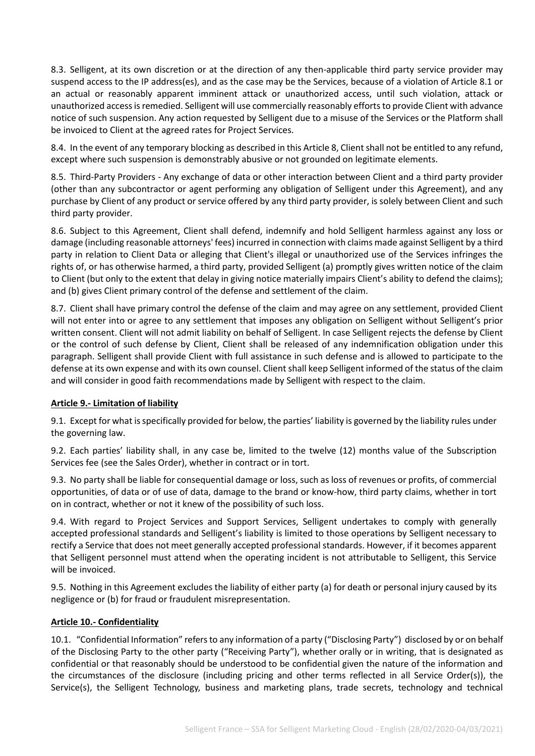8.3. Selligent, at its own discretion or at the direction of any then-applicable third party service provider may suspend access to the IP address(es), and as the case may be the Services, because of a violation of Article 8.1 or an actual or reasonably apparent imminent attack or unauthorized access, until such violation, attack or unauthorized access is remedied. Selligent will use commercially reasonably efforts to provide Client with advance notice of such suspension. Any action requested by Selligent due to a misuse of the Services or the Platform shall be invoiced to Client at the agreed rates for Project Services.

8.4. In the event of any temporary blocking as described in this Article 8, Client shall not be entitled to any refund, except where such suspension is demonstrably abusive or not grounded on legitimate elements.

8.5. Third-Party Providers - Any exchange of data or other interaction between Client and a third party provider (other than any subcontractor or agent performing any obligation of Selligent under this Agreement), and any purchase by Client of any product or service offered by any third party provider, is solely between Client and such third party provider.

8.6. Subject to this Agreement, Client shall defend, indemnify and hold Selligent harmless against any loss or damage (including reasonable attorneys' fees) incurred in connection with claims made against Selligent by a third party in relation to Client Data or alleging that Client's illegal or unauthorized use of the Services infringes the rights of, or has otherwise harmed, a third party, provided Selligent (a) promptly gives written notice of the claim to Client (but only to the extent that delay in giving notice materially impairs Client's ability to defend the claims); and (b) gives Client primary control of the defense and settlement of the claim.

8.7. Client shall have primary control the defense of the claim and may agree on any settlement, provided Client will not enter into or agree to any settlement that imposes any obligation on Selligent without Selligent's prior written consent. Client will not admit liability on behalf of Selligent. In case Selligent rejects the defense by Client or the control of such defense by Client, Client shall be released of any indemnification obligation under this paragraph. Selligent shall provide Client with full assistance in such defense and is allowed to participate to the defense at its own expense and with its own counsel. Client shall keep Selligent informed of the status of the claim and will consider in good faith recommendations made by Selligent with respect to the claim.

# **Article 9.- Limitation of liability**

9.1. Except for what is specifically provided for below, the parties' liability is governed by the liability rules under the governing law.

9.2. Each parties' liability shall, in any case be, limited to the twelve (12) months value of the Subscription Services fee (see the Sales Order), whether in contract or in tort.

9.3. No party shall be liable for consequential damage or loss, such as loss of revenues or profits, of commercial opportunities, of data or of use of data, damage to the brand or know-how, third party claims, whether in tort on in contract, whether or not it knew of the possibility of such loss.

9.4. With regard to Project Services and Support Services, Selligent undertakes to comply with generally accepted professional standards and Selligent's liability is limited to those operations by Selligent necessary to rectify a Service that does not meet generally accepted professional standards. However, if it becomes apparent that Selligent personnel must attend when the operating incident is not attributable to Selligent, this Service will be invoiced.

9.5. Nothing in this Agreement excludes the liability of either party (a) for death or personal injury caused by its negligence or (b) for fraud or fraudulent misrepresentation.

#### **Article 10.- Confidentiality**

10.1. "Confidential Information" refers to any information of a party ("Disclosing Party") disclosed by or on behalf of the Disclosing Party to the other party ("Receiving Party"), whether orally or in writing, that is designated as confidential or that reasonably should be understood to be confidential given the nature of the information and the circumstances of the disclosure (including pricing and other terms reflected in all Service Order(s)), the Service(s), the Selligent Technology, business and marketing plans, trade secrets, technology and technical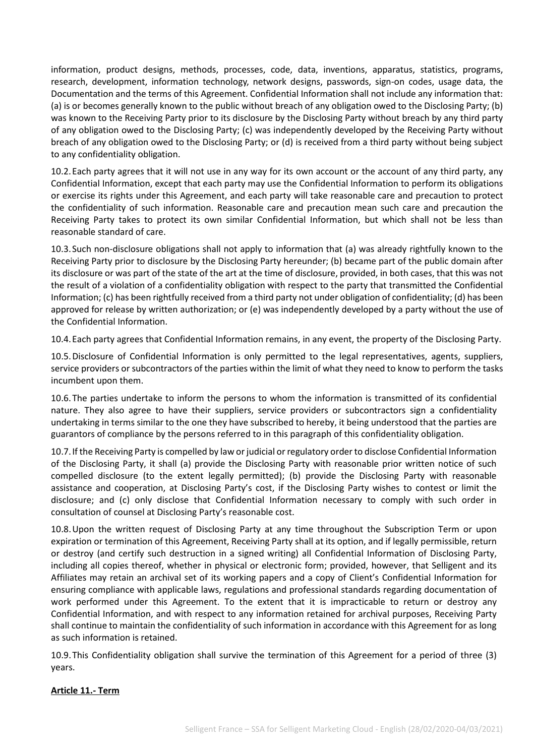information, product designs, methods, processes, code, data, inventions, apparatus, statistics, programs, research, development, information technology, network designs, passwords, sign-on codes, usage data, the Documentation and the terms of this Agreement. Confidential Information shall not include any information that: (a) is or becomes generally known to the public without breach of any obligation owed to the Disclosing Party; (b) was known to the Receiving Party prior to its disclosure by the Disclosing Party without breach by any third party of any obligation owed to the Disclosing Party; (c) was independently developed by the Receiving Party without breach of any obligation owed to the Disclosing Party; or (d) is received from a third party without being subject to any confidentiality obligation.

10.2.Each party agrees that it will not use in any way for its own account or the account of any third party, any Confidential Information, except that each party may use the Confidential Information to perform its obligations or exercise its rights under this Agreement, and each party will take reasonable care and precaution to protect the confidentiality of such information. Reasonable care and precaution mean such care and precaution the Receiving Party takes to protect its own similar Confidential Information, but which shall not be less than reasonable standard of care.

10.3.Such non-disclosure obligations shall not apply to information that (a) was already rightfully known to the Receiving Party prior to disclosure by the Disclosing Party hereunder; (b) became part of the public domain after its disclosure or was part of the state of the art at the time of disclosure, provided, in both cases, that this was not the result of a violation of a confidentiality obligation with respect to the party that transmitted the Confidential Information; (c) has been rightfully received from a third party not under obligation of confidentiality; (d) has been approved for release by written authorization; or (e) was independently developed by a party without the use of the Confidential Information.

10.4.Each party agrees that Confidential Information remains, in any event, the property of the Disclosing Party.

10.5.Disclosure of Confidential Information is only permitted to the legal representatives, agents, suppliers, service providers or subcontractors of the parties within the limit of what they need to know to perform the tasks incumbent upon them.

10.6.The parties undertake to inform the persons to whom the information is transmitted of its confidential nature. They also agree to have their suppliers, service providers or subcontractors sign a confidentiality undertaking in terms similar to the one they have subscribed to hereby, it being understood that the parties are guarantors of compliance by the persons referred to in this paragraph of this confidentiality obligation.

10.7.If the Receiving Party is compelled by law or judicial or regulatory order to disclose Confidential Information of the Disclosing Party, it shall (a) provide the Disclosing Party with reasonable prior written notice of such compelled disclosure (to the extent legally permitted); (b) provide the Disclosing Party with reasonable assistance and cooperation, at Disclosing Party's cost, if the Disclosing Party wishes to contest or limit the disclosure; and (c) only disclose that Confidential Information necessary to comply with such order in consultation of counsel at Disclosing Party's reasonable cost.

10.8.Upon the written request of Disclosing Party at any time throughout the Subscription Term or upon expiration or termination of this Agreement, Receiving Party shall at its option, and if legally permissible, return or destroy (and certify such destruction in a signed writing) all Confidential Information of Disclosing Party, including all copies thereof, whether in physical or electronic form; provided, however, that Selligent and its Affiliates may retain an archival set of its working papers and a copy of Client's Confidential Information for ensuring compliance with applicable laws, regulations and professional standards regarding documentation of work performed under this Agreement. To the extent that it is impracticable to return or destroy any Confidential Information, and with respect to any information retained for archival purposes, Receiving Party shall continue to maintain the confidentiality of such information in accordance with this Agreement for as long as such information is retained.

10.9.This Confidentiality obligation shall survive the termination of this Agreement for a period of three (3) years.

# **Article 11.- Term**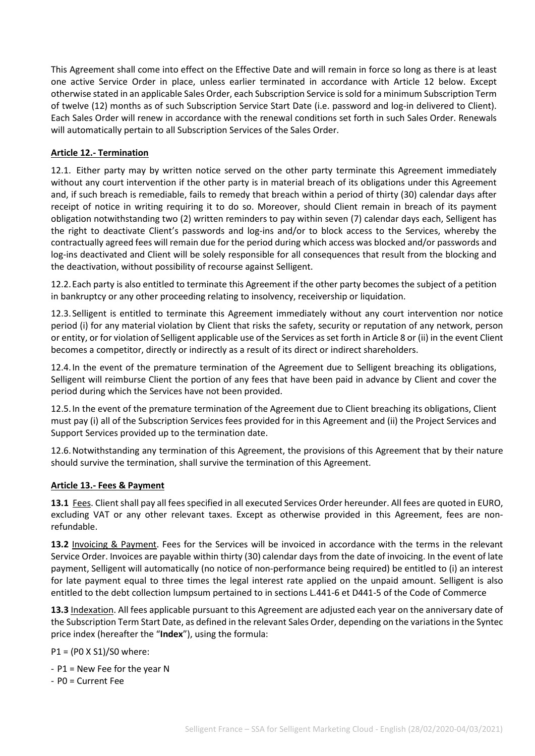This Agreement shall come into effect on the Effective Date and will remain in force so long as there is at least one active Service Order in place, unless earlier terminated in accordance with Article 12 below. Except otherwise stated in an applicable Sales Order, each Subscription Service is sold for a minimum Subscription Term of twelve (12) months as of such Subscription Service Start Date (i.e. password and log-in delivered to Client). Each Sales Order will renew in accordance with the renewal conditions set forth in such Sales Order. Renewals will automatically pertain to all Subscription Services of the Sales Order.

#### **Article 12.- Termination**

12.1. Either party may by written notice served on the other party terminate this Agreement immediately without any court intervention if the other party is in material breach of its obligations under this Agreement and, if such breach is remediable, fails to remedy that breach within a period of thirty (30) calendar days after receipt of notice in writing requiring it to do so. Moreover, should Client remain in breach of its payment obligation notwithstanding two (2) written reminders to pay within seven (7) calendar days each, Selligent has the right to deactivate Client's passwords and log-ins and/or to block access to the Services, whereby the contractually agreed fees will remain due for the period during which access was blocked and/or passwords and log-ins deactivated and Client will be solely responsible for all consequences that result from the blocking and the deactivation, without possibility of recourse against Selligent.

12.2.Each party is also entitled to terminate this Agreement if the other party becomes the subject of a petition in bankruptcy or any other proceeding relating to insolvency, receivership or liquidation.

12.3.Selligent is entitled to terminate this Agreement immediately without any court intervention nor notice period (i) for any material violation by Client that risks the safety, security or reputation of any network, person or entity, or for violation of Selligent applicable use of the Services as set forth in Article 8 or (ii) in the event Client becomes a competitor, directly or indirectly as a result of its direct or indirect shareholders.

12.4.In the event of the premature termination of the Agreement due to Selligent breaching its obligations, Selligent will reimburse Client the portion of any fees that have been paid in advance by Client and cover the period during which the Services have not been provided.

12.5.In the event of the premature termination of the Agreement due to Client breaching its obligations, Client must pay (i) all of the Subscription Services fees provided for in this Agreement and (ii) the Project Services and Support Services provided up to the termination date.

12.6.Notwithstanding any termination of this Agreement, the provisions of this Agreement that by their nature should survive the termination, shall survive the termination of this Agreement.

#### **Article 13.- Fees & Payment**

**13.1** Fees. Client shall pay all fees specified in all executed Services Order hereunder. All fees are quoted in EURO, excluding VAT or any other relevant taxes. Except as otherwise provided in this Agreement, fees are nonrefundable.

**13.2** Invoicing & Payment. Fees for the Services will be invoiced in accordance with the terms in the relevant Service Order. Invoices are payable within thirty (30) calendar days from the date of invoicing. In the event of late payment, Selligent will automatically (no notice of non-performance being required) be entitled to (i) an interest for late payment equal to three times the legal interest rate applied on the unpaid amount. Selligent is also entitled to the debt collection lumpsum pertained to in sections L.441-6 et D441-5 of the Code of Commerce

**13.3** Indexation. All fees applicable pursuant to this Agreement are adjusted each year on the anniversary date of the Subscription Term Start Date, as defined in the relevant Sales Order, depending on the variations in the Syntec price index (hereafter the "**Index**"), using the formula:

P1 = (P0 X S1)/S0 where:

- P1 = New Fee for the year N

- P0 = Current Fee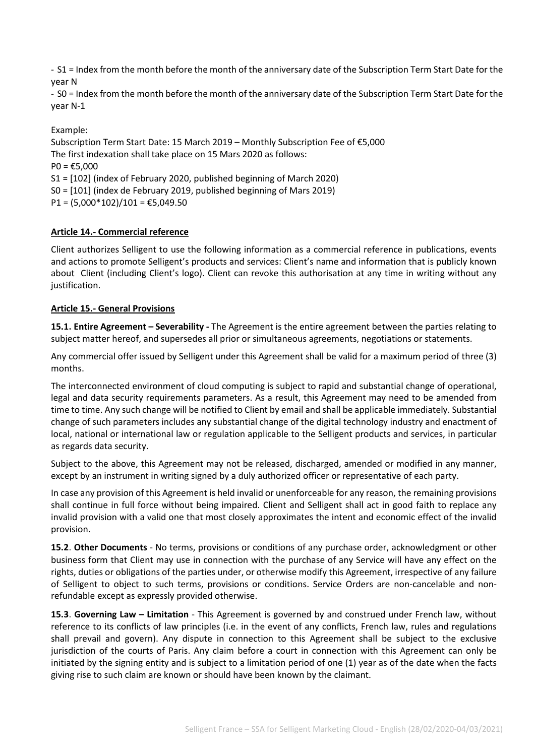- S1 = Index from the month before the month of the anniversary date of the Subscription Term Start Date for the year N

- S0 = Index from the month before the month of the anniversary date of the Subscription Term Start Date for the year N-1

Example:

Subscription Term Start Date: 15 March 2019 – Monthly Subscription Fee of €5,000 The first indexation shall take place on 15 Mars 2020 as follows:  $PO = £5,000$ S1 = [102] (index of February 2020, published beginning of March 2020) S0 = [101] (index de February 2019, published beginning of Mars 2019)  $P1 = (5,000*102)/101 = \text{\textsterling}5,049.50$ 

#### **Article 14.- Commercial reference**

Client authorizes Selligent to use the following information as a commercial reference in publications, events and actions to promote Selligent's products and services: Client's name and information that is publicly known about Client (including Client's logo). Client can revoke this authorisation at any time in writing without any justification.

#### **Article 15.- General Provisions**

**15.1. Entire Agreement – Severability -** The Agreement is the entire agreement between the parties relating to subject matter hereof, and supersedes all prior or simultaneous agreements, negotiations or statements.

Any commercial offer issued by Selligent under this Agreement shall be valid for a maximum period of three (3) months.

The interconnected environment of cloud computing is subject to rapid and substantial change of operational, legal and data security requirements parameters. As a result, this Agreement may need to be amended from time to time. Any such change will be notified to Client by email and shall be applicable immediately. Substantial change of such parameters includes any substantial change of the digital technology industry and enactment of local, national or international law or regulation applicable to the Selligent products and services, in particular as regards data security.

Subject to the above, this Agreement may not be released, discharged, amended or modified in any manner, except by an instrument in writing signed by a duly authorized officer or representative of each party.

In case any provision of this Agreement is held invalid or unenforceable for any reason, the remaining provisions shall continue in full force without being impaired. Client and Selligent shall act in good faith to replace any invalid provision with a valid one that most closely approximates the intent and economic effect of the invalid provision.

**15.2**. **Other Documents** - No terms, provisions or conditions of any purchase order, acknowledgment or other business form that Client may use in connection with the purchase of any Service will have any effect on the rights, duties or obligations of the parties under, or otherwise modify this Agreement, irrespective of any failure of Selligent to object to such terms, provisions or conditions. Service Orders are non-cancelable and nonrefundable except as expressly provided otherwise.

**15.3**. **Governing Law – Limitation** - This Agreement is governed by and construed under French law, without reference to its conflicts of law principles (i.e. in the event of any conflicts, French law, rules and regulations shall prevail and govern). Any dispute in connection to this Agreement shall be subject to the exclusive jurisdiction of the courts of Paris. Any claim before a court in connection with this Agreement can only be initiated by the signing entity and is subject to a limitation period of one (1) year as of the date when the facts giving rise to such claim are known or should have been known by the claimant.